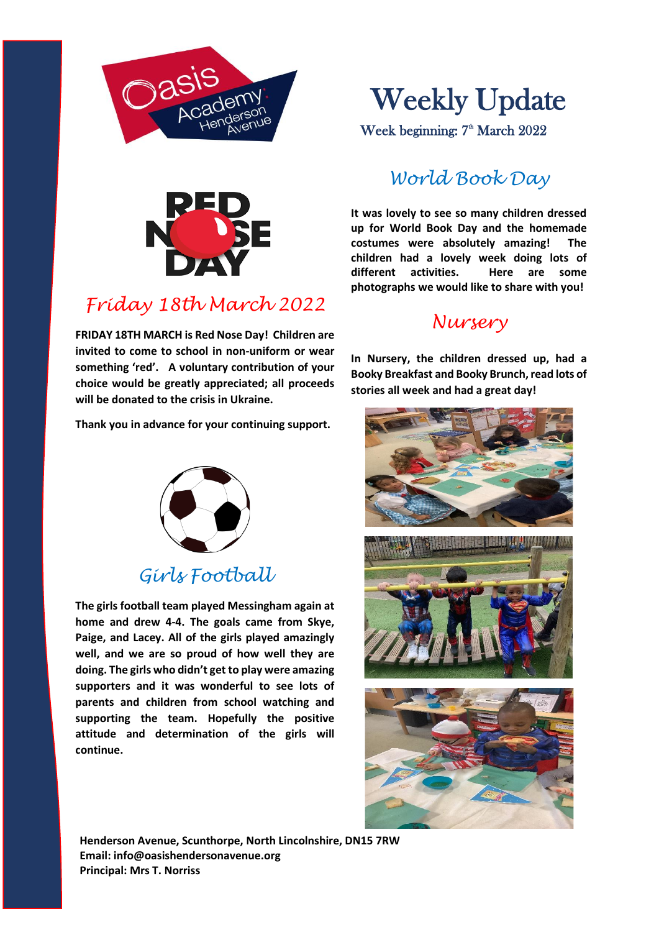



## *Friday 18th March 2022*

**FRIDAY 18TH MARCH is Red Nose Day! Children are invited to come to school in non-uniform or wear something 'red'. A voluntary contribution of your choice would be greatly appreciated; all proceeds will be donated to the crisis in Ukraine.**

**Thank you in advance for your continuing support.**

# Weekly Update

Week beginning: 7<sup>th</sup> March 2022

#### *World Book Day*

**It was lovely to see so many children dressed up for World Book Day and the homemade costumes were absolutely amazing! The children had a lovely week doing lots of different activities. Here are some photographs we would like to share with you!**

#### *Nursery*

**In Nursery, the children dressed up, had a Booky Breakfast and Booky Brunch, read lots of stories all week and had a great day!**







### *Girls Football*

**The girls football team played Messingham again at home and drew 4-4. The goals came from Skye, Paige, and Lacey. All of the girls played amazingly well, and we are so proud of how well they are doing. The girls who didn't get to play were amazing supporters and it was wonderful to see lots of parents and children from school watching and supporting the team. Hopefully the positive attitude and determination of the girls will continue.**